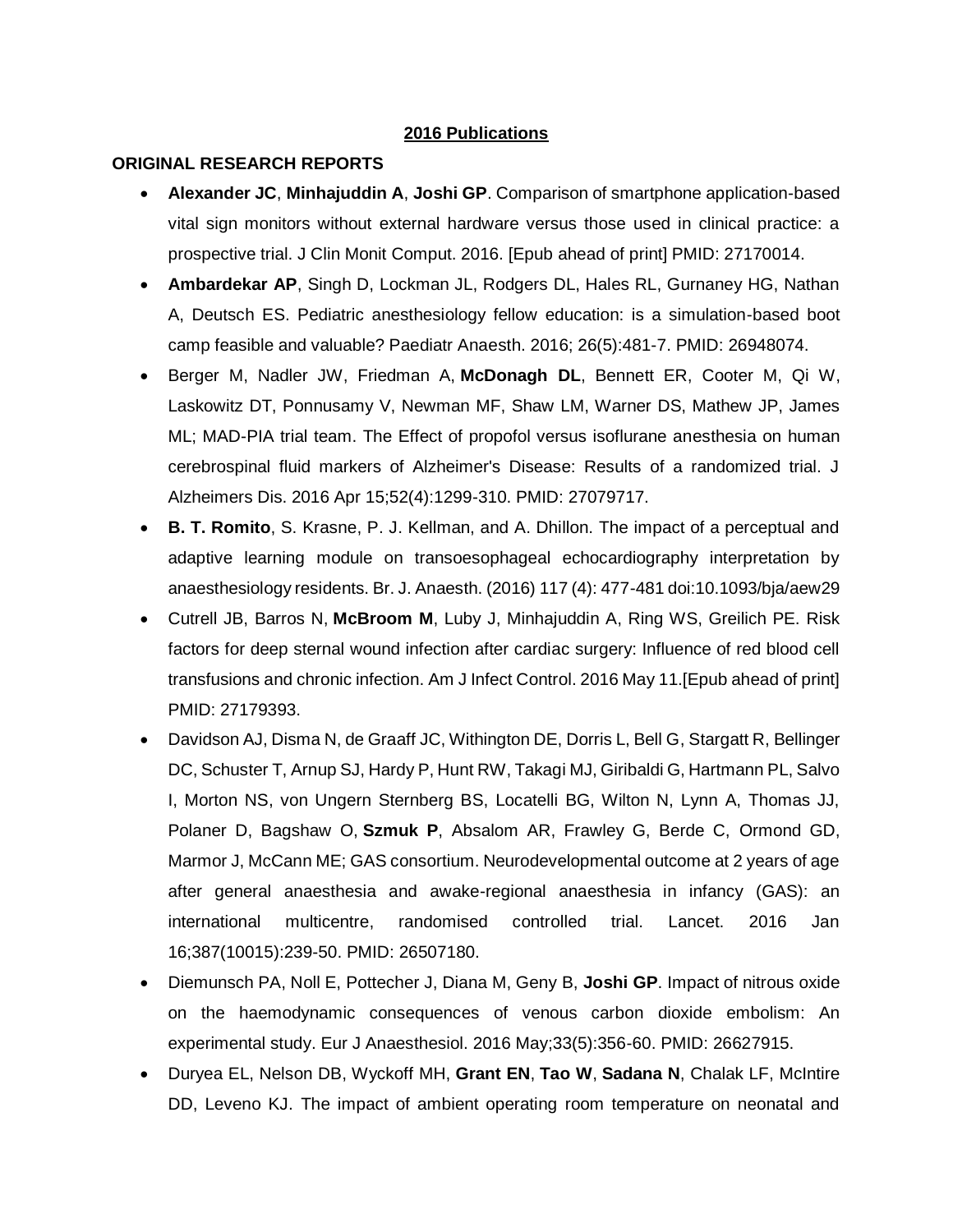#### **2016 Publications**

#### **ORIGINAL RESEARCH REPORTS**

- **Alexander JC**, **Minhajuddin A**, **Joshi GP**. Comparison of smartphone application-based vital sign monitors without external hardware versus those used in clinical practice: a prospective trial. J Clin Monit Comput. 2016. [Epub ahead of print] PMID: 27170014.
- **Ambardekar AP**, Singh D, Lockman JL, Rodgers DL, Hales RL, Gurnaney HG, Nathan A, Deutsch ES. Pediatric anesthesiology fellow education: is a simulation-based boot camp feasible and valuable? Paediatr Anaesth. 2016; 26(5):481-7. PMID: 26948074.
- Berger M, Nadler JW, Friedman A, **McDonagh DL**, Bennett ER, Cooter M, Qi W, Laskowitz DT, Ponnusamy V, Newman MF, Shaw LM, Warner DS, Mathew JP, James ML; MAD-PIA trial team. The Effect of propofol versus isoflurane anesthesia on human cerebrospinal fluid markers of Alzheimer's Disease: Results of a randomized trial. J Alzheimers Dis. 2016 Apr 15;52(4):1299-310. PMID: 27079717.
- **B. T. Romito**, S. Krasne, P. J. Kellman, and A. Dhillon. The impact of a perceptual and adaptive learning module on transoesophageal echocardiography interpretation by anaesthesiology residents. Br. J. Anaesth. (2016) 117 (4): 477-481 doi:10.1093/bja/aew29
- Cutrell JB, Barros N, **McBroom M**, Luby J, Minhajuddin A, Ring WS, Greilich PE. Risk factors for deep sternal wound infection after cardiac surgery: Influence of red blood cell transfusions and chronic infection. Am J Infect Control. 2016 May 11.[Epub ahead of print] PMID: 27179393.
- Davidson AJ, Disma N, de Graaff JC, Withington DE, Dorris L, Bell G, Stargatt R, Bellinger DC, Schuster T, Arnup SJ, Hardy P, Hunt RW, Takagi MJ, Giribaldi G, Hartmann PL, Salvo I, Morton NS, von Ungern Sternberg BS, Locatelli BG, Wilton N, Lynn A, Thomas JJ, Polaner D, Bagshaw O, **Szmuk P**, Absalom AR, Frawley G, Berde C, Ormond GD, Marmor J, McCann ME; GAS consortium. Neurodevelopmental outcome at 2 years of age after general anaesthesia and awake-regional anaesthesia in infancy (GAS): an international multicentre, randomised controlled trial. Lancet. 2016 Jan 16;387(10015):239-50. PMID: 26507180.
- Diemunsch PA, Noll E, Pottecher J, Diana M, Geny B, **Joshi GP**. Impact of nitrous oxide on the haemodynamic consequences of venous carbon dioxide embolism: An experimental study. Eur J Anaesthesiol. 2016 May;33(5):356-60. PMID: 26627915.
- Duryea EL, Nelson DB, Wyckoff MH, **Grant EN**, **Tao W**, **Sadana N**, Chalak LF, McIntire DD, Leveno KJ. The impact of ambient operating room temperature on neonatal and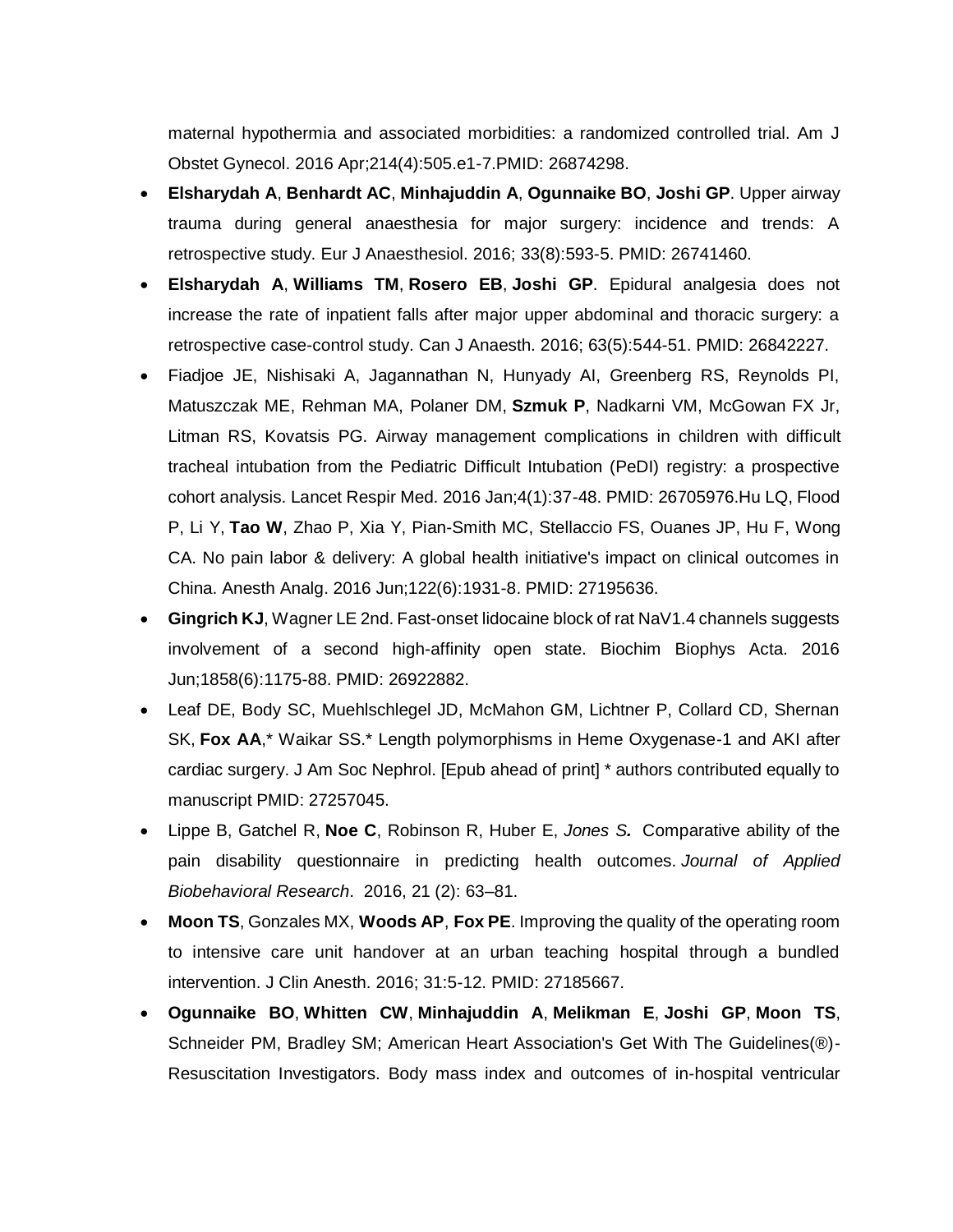maternal hypothermia and associated morbidities: a randomized controlled trial. Am J Obstet Gynecol. 2016 Apr;214(4):505.e1-7.PMID: 26874298.

- **Elsharydah A**, **Benhardt AC**, **Minhajuddin A**, **Ogunnaike BO**, **Joshi GP**. Upper airway trauma during general anaesthesia for major surgery: incidence and trends: A retrospective study. Eur J Anaesthesiol. 2016; 33(8):593-5. PMID: 26741460.
- **Elsharydah A**, **Williams TM**, **Rosero EB**, **Joshi GP**. Epidural analgesia does not increase the rate of inpatient falls after major upper abdominal and thoracic surgery: a retrospective case-control study. Can J Anaesth. 2016; 63(5):544-51. PMID: 26842227.
- Fiadjoe JE, Nishisaki A, Jagannathan N, Hunyady AI, Greenberg RS, Reynolds PI, Matuszczak ME, Rehman MA, Polaner DM, **Szmuk P**, Nadkarni VM, McGowan FX Jr, Litman RS, Kovatsis PG. Airway management complications in children with difficult tracheal intubation from the Pediatric Difficult Intubation (PeDI) registry: a prospective cohort analysis. Lancet Respir Med. 2016 Jan;4(1):37-48. PMID: 26705976.Hu LQ, Flood P, Li Y, **Tao W**, Zhao P, Xia Y, Pian-Smith MC, Stellaccio FS, Ouanes JP, Hu F, Wong CA. No pain labor & delivery: A global health initiative's impact on clinical outcomes in China. Anesth Analg. 2016 Jun;122(6):1931-8. PMID: 27195636.
- **Gingrich KJ**, Wagner LE 2nd. Fast-onset lidocaine block of rat NaV1.4 channels suggests involvement of a second high-affinity open state. Biochim Biophys Acta. 2016 Jun;1858(6):1175-88. PMID: 26922882.
- Leaf DE, Body SC, Muehlschlegel JD, McMahon GM, Lichtner P, Collard CD, Shernan SK, **Fox AA**,\* Waikar SS.\* Length polymorphisms in Heme Oxygenase-1 and AKI after cardiac surgery. J Am Soc Nephrol. [Epub ahead of print] \* authors contributed equally to manuscript PMID: 27257045.
- Lippe B, Gatchel R, **Noe C**, Robinson R, Huber E, *Jones S.* Comparative ability of the pain disability questionnaire in predicting health outcomes. *Journal of Applied Biobehavioral Research*. 2016, 21 (2): 63–81.
- **Moon TS**, Gonzales MX, **Woods AP**, **Fox PE**. Improving the quality of the operating room to intensive care unit handover at an urban teaching hospital through a bundled intervention. J Clin Anesth. 2016; 31:5-12. PMID: 27185667.
- **Ogunnaike BO**, **Whitten CW**, **Minhajuddin A**, **Melikman E**, **Joshi GP**, **Moon TS**, Schneider PM, Bradley SM; American Heart Association's Get With The Guidelines(®)- Resuscitation Investigators. Body mass index and outcomes of in-hospital ventricular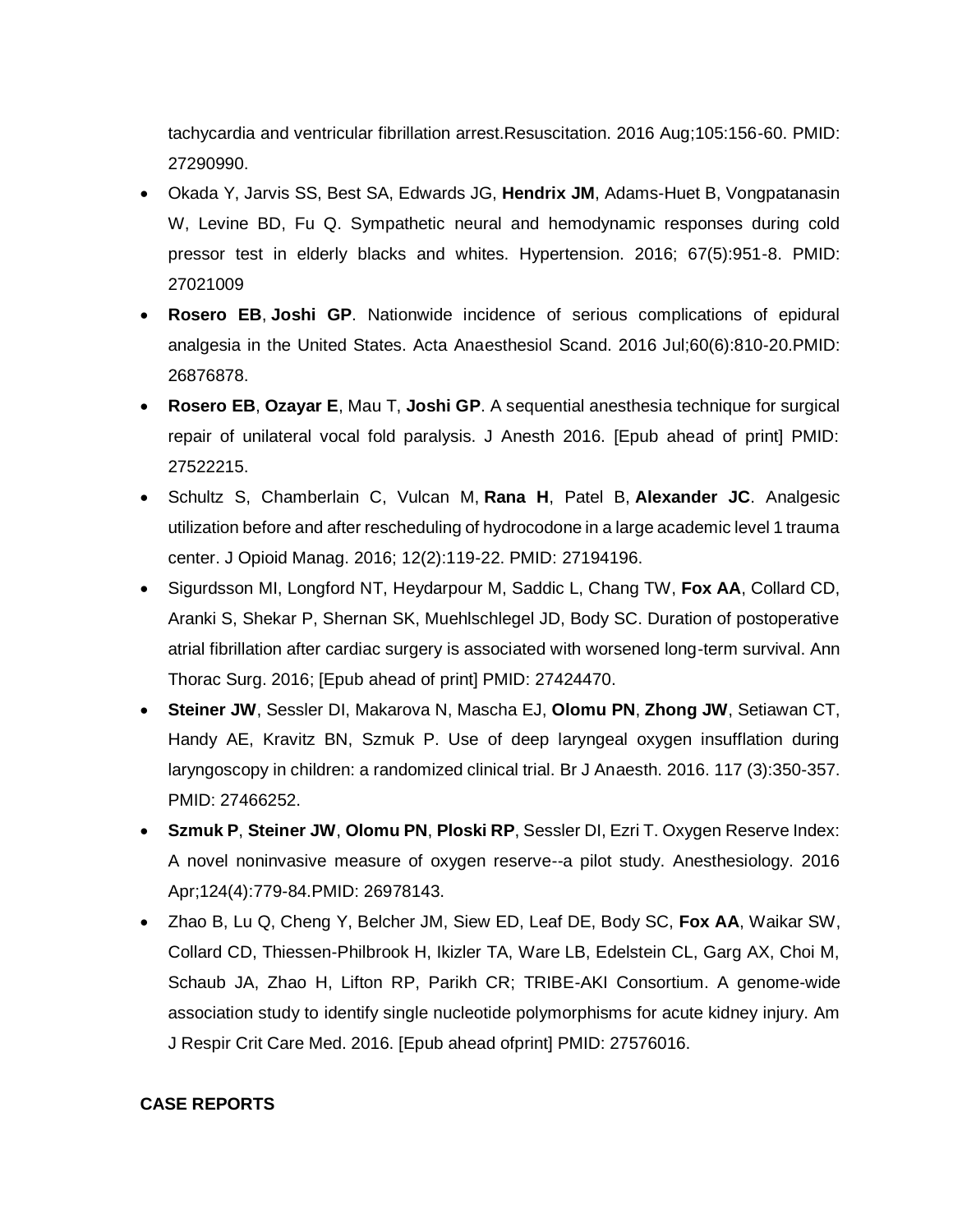tachycardia and ventricular fibrillation arrest.Resuscitation. 2016 Aug;105:156-60. PMID: 27290990.

- Okada Y, Jarvis SS, Best SA, Edwards JG, **Hendrix JM**, Adams-Huet B, Vongpatanasin W, Levine BD, Fu Q. Sympathetic neural and hemodynamic responses during cold pressor test in elderly blacks and whites. Hypertension. 2016; 67(5):951-8. PMID: 27021009
- **Rosero EB**, **Joshi GP**. Nationwide incidence of serious complications of epidural analgesia in the United States. Acta Anaesthesiol Scand. 2016 Jul;60(6):810-20.PMID: 26876878.
- **Rosero EB**, **Ozayar E**, Mau T, **Joshi GP**. A sequential anesthesia technique for surgical repair of unilateral vocal fold paralysis. J Anesth 2016. [Epub ahead of print] PMID: 27522215.
- Schultz S, Chamberlain C, Vulcan M, **Rana H**, Patel B, **Alexander JC**. Analgesic utilization before and after rescheduling of hydrocodone in a large academic level 1 trauma center. J Opioid Manag. 2016; 12(2):119-22. PMID: 27194196.
- Sigurdsson MI, Longford NT, Heydarpour M, Saddic L, Chang TW, **Fox AA**, Collard CD, Aranki S, Shekar P, Shernan SK, Muehlschlegel JD, Body SC. Duration of postoperative atrial fibrillation after cardiac surgery is associated with worsened long-term survival. Ann Thorac Surg. 2016; [Epub ahead of print] PMID: 27424470.
- **Steiner JW**, Sessler DI, Makarova N, Mascha EJ, **Olomu PN**, **Zhong JW**, Setiawan CT, Handy AE, Kravitz BN, Szmuk P. Use of deep laryngeal oxygen insufflation during laryngoscopy in children: a randomized clinical trial. Br J Anaesth. 2016. 117 (3):350-357. PMID: 27466252.
- **Szmuk P**, **Steiner JW**, **Olomu PN**, **Ploski RP**, Sessler DI, Ezri T. Oxygen Reserve Index: A novel noninvasive measure of oxygen reserve--a pilot study. Anesthesiology. 2016 Apr;124(4):779-84.PMID: 26978143.
- Zhao B, Lu Q, Cheng Y, Belcher JM, Siew ED, Leaf DE, Body SC, **Fox AA**, Waikar SW, Collard CD, Thiessen-Philbrook H, Ikizler TA, Ware LB, Edelstein CL, Garg AX, Choi M, Schaub JA, Zhao H, Lifton RP, Parikh CR; TRIBE-AKI Consortium. A genome-wide association study to identify single nucleotide polymorphisms for acute kidney injury. Am J Respir Crit Care Med. 2016. [Epub ahead ofprint] PMID: 27576016.

#### **CASE REPORTS**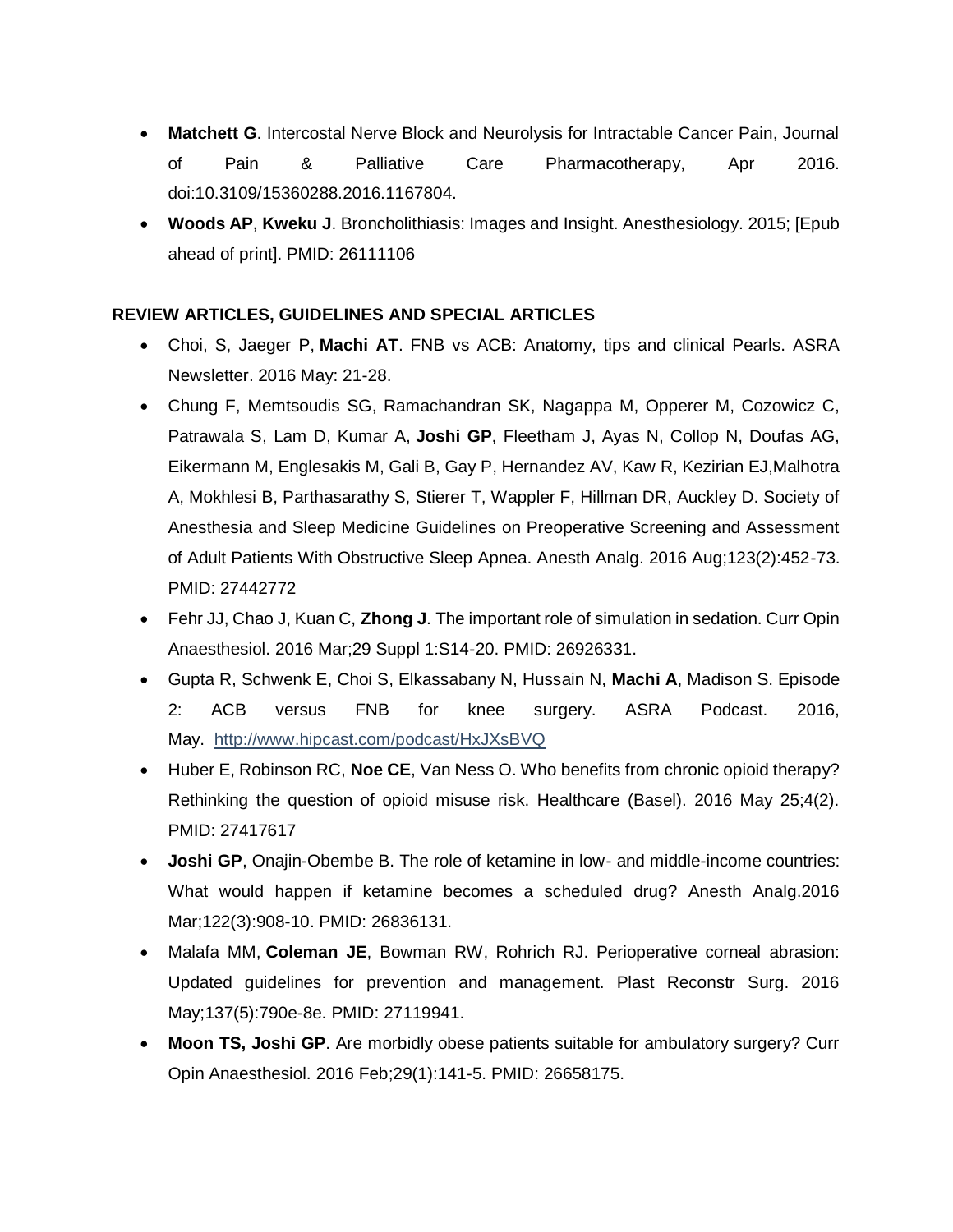- **Matchett G**. Intercostal Nerve Block and Neurolysis for Intractable Cancer Pain, Journal of Pain & Palliative Care Pharmacotherapy, Apr 2016. doi:10.3109/15360288.2016.1167804.
- **Woods AP**, **Kweku J**. Broncholithiasis: Images and Insight. Anesthesiology. 2015; [Epub ahead of print]. PMID: 26111106

## **REVIEW ARTICLES, GUIDELINES AND SPECIAL ARTICLES**

- Choi, S, Jaeger P, **Machi AT**. FNB vs ACB: Anatomy, tips and clinical Pearls. ASRA Newsletter. 2016 May: 21-28.
- Chung F, Memtsoudis SG, Ramachandran SK, Nagappa M, Opperer M, Cozowicz C, Patrawala S, Lam D, Kumar A, **Joshi GP**, Fleetham J, Ayas N, Collop N, Doufas AG, Eikermann M, Englesakis M, Gali B, Gay P, Hernandez AV, Kaw R, Kezirian EJ,Malhotra A, Mokhlesi B, Parthasarathy S, Stierer T, Wappler F, Hillman DR, Auckley D. Society of Anesthesia and Sleep Medicine Guidelines on Preoperative Screening and Assessment of Adult Patients With Obstructive Sleep Apnea. Anesth Analg. 2016 Aug;123(2):452-73. PMID: 27442772
- Fehr JJ, Chao J, Kuan C, **Zhong J**. The important role of simulation in sedation. Curr Opin Anaesthesiol. 2016 Mar;29 Suppl 1:S14-20. PMID: 26926331.
- Gupta R, Schwenk E, Choi S, Elkassabany N, Hussain N, **Machi A**, Madison S. Episode 2: ACB versus FNB for knee surgery. ASRA Podcast. 2016, May. <http://www.hipcast.com/podcast/HxJXsBVQ>
- Huber E, Robinson RC, **Noe CE**, Van Ness O. Who benefits from chronic opioid therapy? Rethinking the question of opioid misuse risk. Healthcare (Basel). 2016 May 25;4(2). PMID: 27417617
- **Joshi GP**, Onajin-Obembe B. The role of ketamine in low- and middle-income countries: What would happen if ketamine becomes a scheduled drug? Anesth Analg.2016 Mar;122(3):908-10. PMID: 26836131.
- Malafa MM, **Coleman JE**, Bowman RW, Rohrich RJ. Perioperative corneal abrasion: Updated guidelines for prevention and management. Plast Reconstr Surg. 2016 May;137(5):790e-8e. PMID: 27119941.
- **Moon TS, Joshi GP**. Are morbidly obese patients suitable for ambulatory surgery? Curr Opin Anaesthesiol. 2016 Feb;29(1):141-5. PMID: 26658175.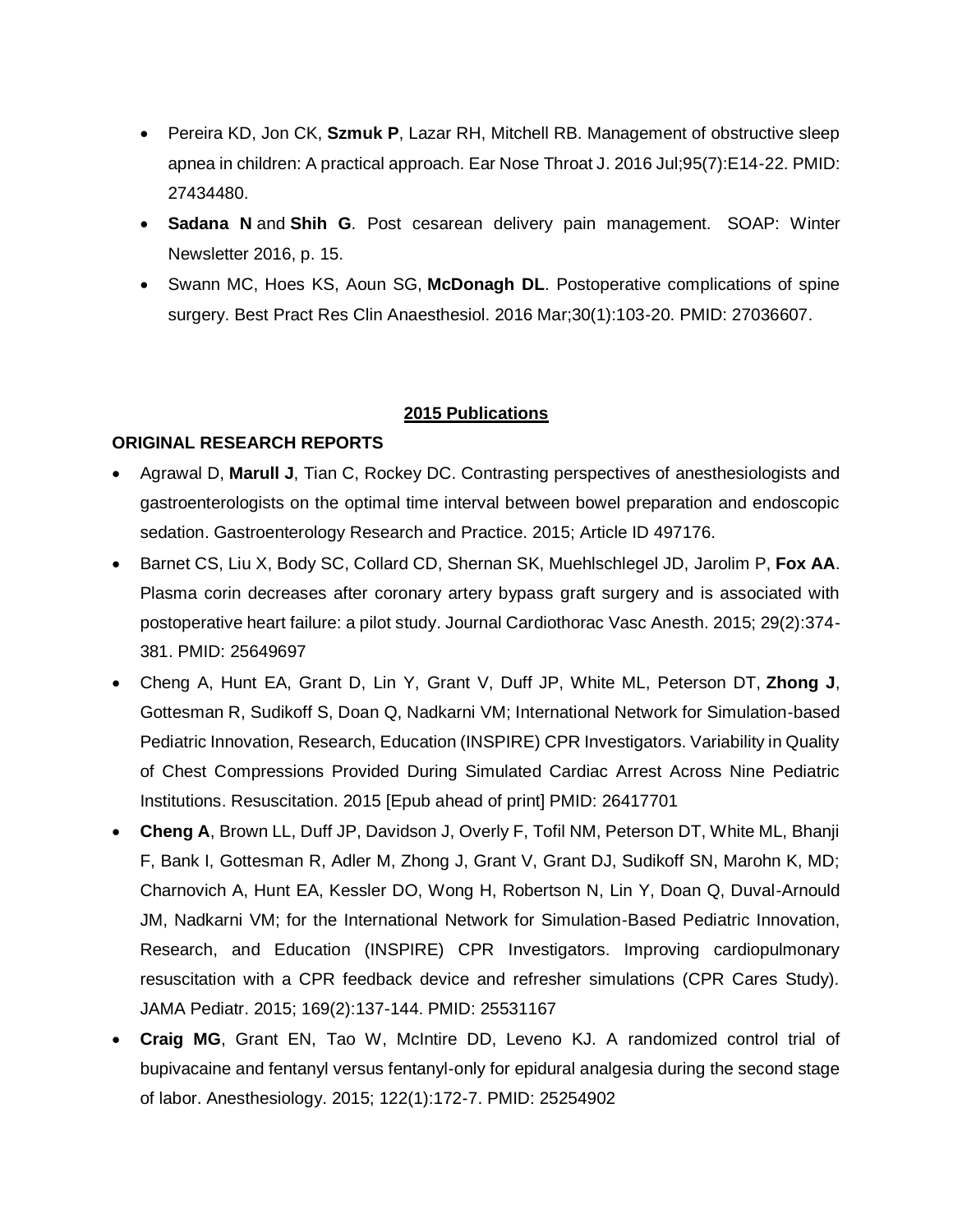- Pereira KD, Jon CK, **Szmuk P**, Lazar RH, Mitchell RB. Management of obstructive sleep apnea in children: A practical approach. Ear Nose Throat J. 2016 Jul;95(7):E14-22. PMID: 27434480.
- **Sadana N** and **Shih G**. Post cesarean delivery pain management. SOAP: Winter Newsletter 2016, p. 15.
- Swann MC, Hoes KS, Aoun SG, **McDonagh DL**. Postoperative complications of spine surgery. Best Pract Res Clin Anaesthesiol. 2016 Mar;30(1):103-20. PMID: 27036607.

#### **2015 Publications**

#### **ORIGINAL RESEARCH REPORTS**

- Agrawal D, **Marull J**, Tian C, Rockey DC. Contrasting perspectives of anesthesiologists and gastroenterologists on the optimal time interval between bowel preparation and endoscopic sedation. Gastroenterology Research and Practice. 2015; Article ID 497176.
- Barnet CS, Liu X, Body SC, Collard CD, Shernan SK, Muehlschlegel JD, Jarolim P, **Fox AA**. Plasma corin decreases after coronary artery bypass graft surgery and is associated with postoperative heart failure: a pilot study. Journal Cardiothorac Vasc Anesth. 2015; 29(2):374- 381. PMID: 25649697
- Cheng A, Hunt EA, Grant D, Lin Y, Grant V, Duff JP, White ML, Peterson DT, **Zhong J**, Gottesman R, Sudikoff S, Doan Q, Nadkarni VM; International Network for Simulation-based Pediatric Innovation, Research, Education (INSPIRE) CPR Investigators. Variability in Quality of Chest Compressions Provided During Simulated Cardiac Arrest Across Nine Pediatric Institutions. Resuscitation. 2015 [Epub ahead of print] PMID: 26417701
- **Cheng A**, Brown LL, Duff JP, Davidson J, Overly F, Tofil NM, Peterson DT, White ML, Bhanji F, Bank I, Gottesman R, Adler M, Zhong J, Grant V, Grant DJ, Sudikoff SN, Marohn K, MD; Charnovich A, Hunt EA, Kessler DO, Wong H, Robertson N, Lin Y, Doan Q, Duval-Arnould JM, Nadkarni VM; for the International Network for Simulation-Based Pediatric Innovation, Research, and Education (INSPIRE) CPR Investigators. Improving cardiopulmonary resuscitation with a CPR feedback device and refresher simulations (CPR Cares Study). JAMA Pediatr. 2015; 169(2):137-144. PMID: 25531167
- **Craig MG**, Grant EN, Tao W, McIntire DD, Leveno KJ. A randomized control trial of bupivacaine and fentanyl versus fentanyl-only for epidural analgesia during the second stage of labor. Anesthesiology. 2015; 122(1):172-7. PMID: 25254902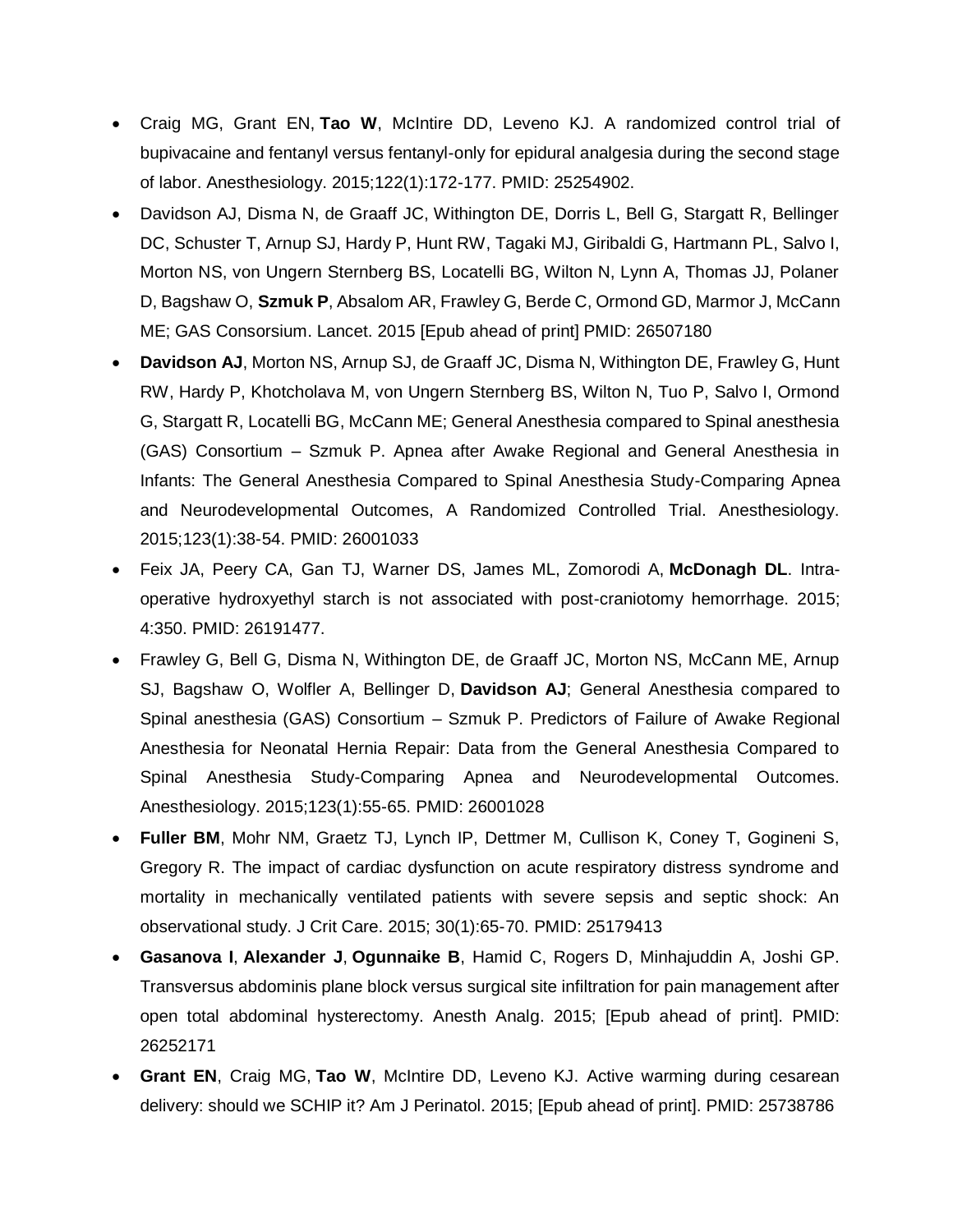- Craig MG, Grant EN, **Tao W**, McIntire DD, Leveno KJ. A randomized control trial of bupivacaine and fentanyl versus fentanyl-only for epidural analgesia during the second stage of labor. Anesthesiology. 2015;122(1):172-177. PMID: 25254902.
- Davidson AJ, Disma N, de Graaff JC, Withington DE, Dorris L, Bell G, Stargatt R, Bellinger DC, Schuster T, Arnup SJ, Hardy P, Hunt RW, Tagaki MJ, Giribaldi G, Hartmann PL, Salvo I, Morton NS, von Ungern Sternberg BS, Locatelli BG, Wilton N, Lynn A, Thomas JJ, Polaner D, Bagshaw O, **Szmuk P**, Absalom AR, Frawley G, Berde C, Ormond GD, Marmor J, McCann ME; GAS Consorsium. Lancet. 2015 [Epub ahead of print] PMID: 26507180
- **Davidson AJ**, Morton NS, Arnup SJ, de Graaff JC, Disma N, Withington DE, Frawley G, Hunt RW, Hardy P, Khotcholava M, von Ungern Sternberg BS, Wilton N, Tuo P, Salvo I, Ormond G, Stargatt R, Locatelli BG, McCann ME; General Anesthesia compared to Spinal anesthesia (GAS) Consortium – Szmuk P. Apnea after Awake Regional and General Anesthesia in Infants: The General Anesthesia Compared to Spinal Anesthesia Study-Comparing Apnea and Neurodevelopmental Outcomes, A Randomized Controlled Trial. Anesthesiology. 2015;123(1):38-54. PMID: 26001033
- Feix JA, Peery CA, Gan TJ, Warner DS, James ML, Zomorodi A, **McDonagh DL**. Intraoperative hydroxyethyl starch is not associated with post-craniotomy hemorrhage. 2015; 4:350. PMID: 26191477.
- Frawley G, Bell G, Disma N, Withington DE, de Graaff JC, Morton NS, McCann ME, Arnup SJ, Bagshaw O, Wolfler A, Bellinger D, **Davidson AJ**; General Anesthesia compared to Spinal anesthesia (GAS) Consortium – Szmuk P. Predictors of Failure of Awake Regional Anesthesia for Neonatal Hernia Repair: Data from the General Anesthesia Compared to Spinal Anesthesia Study-Comparing Apnea and Neurodevelopmental Outcomes. Anesthesiology. 2015;123(1):55-65. PMID: 26001028
- **Fuller BM**, Mohr NM, Graetz TJ, Lynch IP, Dettmer M, Cullison K, Coney T, Gogineni S, Gregory R. The impact of cardiac dysfunction on acute respiratory distress syndrome and mortality in mechanically ventilated patients with severe sepsis and septic shock: An observational study. J Crit Care. 2015; 30(1):65-70. PMID: 25179413
- **Gasanova I**, **Alexander J**, **Ogunnaike B**, Hamid C, Rogers D, Minhajuddin A, Joshi GP. Transversus abdominis plane block versus surgical site infiltration for pain management after open total abdominal hysterectomy. Anesth Analg. 2015; [Epub ahead of print]. PMID: 26252171
- **Grant EN**, Craig MG, **Tao W**, McIntire DD, Leveno KJ. Active warming during cesarean delivery: should we SCHIP it? Am J Perinatol. 2015; [Epub ahead of print]. PMID: 25738786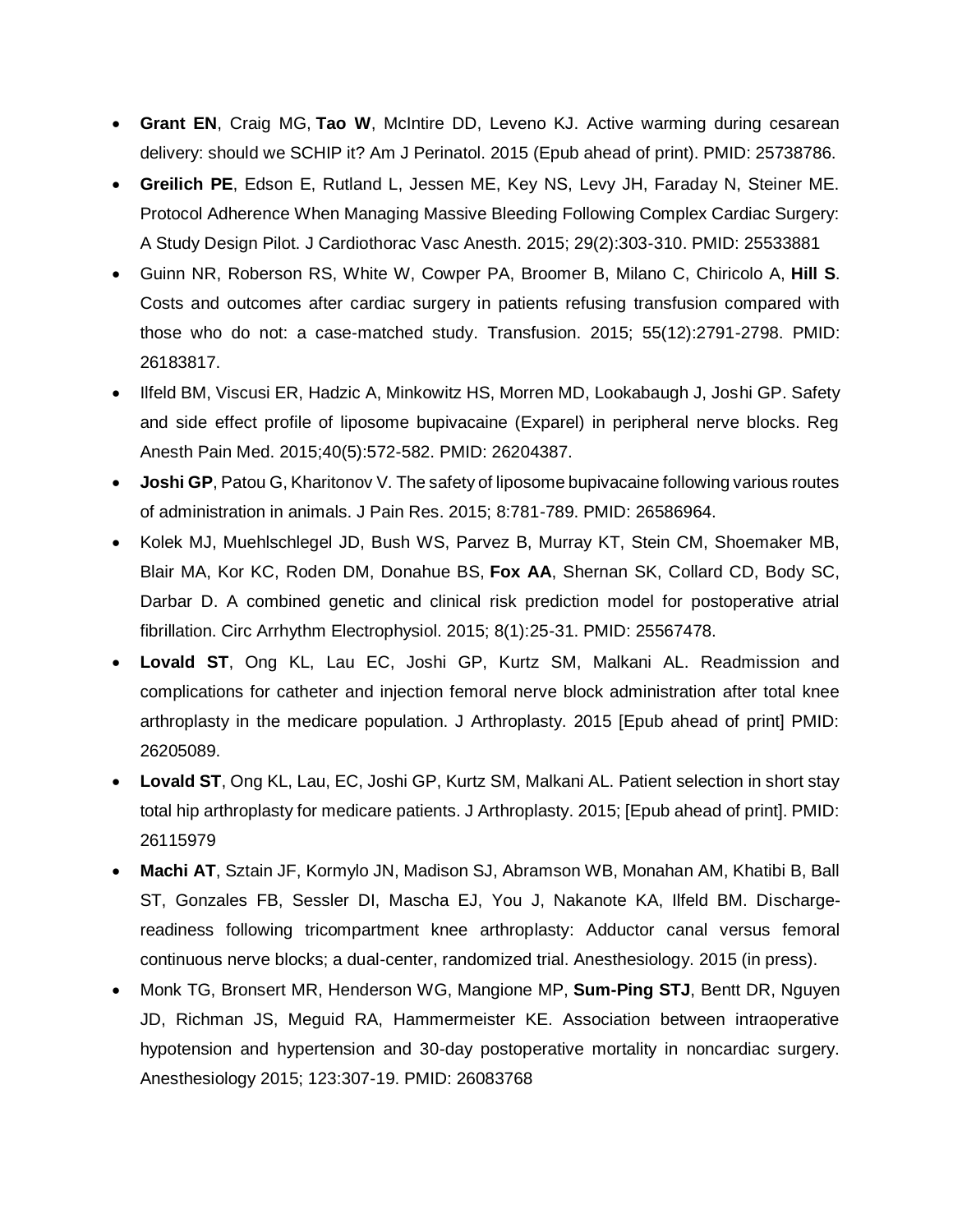- **Grant EN**, Craig MG, **Tao W**, McIntire DD, Leveno KJ. Active warming during cesarean delivery: should we SCHIP it? Am J Perinatol. 2015 (Epub ahead of print). PMID: 25738786.
- **Greilich PE**, Edson E, Rutland L, Jessen ME, Key NS, Levy JH, Faraday N, Steiner ME. Protocol Adherence When Managing Massive Bleeding Following Complex Cardiac Surgery: A Study Design Pilot. J Cardiothorac Vasc Anesth. 2015; 29(2):303-310. PMID: 25533881
- Guinn NR, Roberson RS, White W, Cowper PA, Broomer B, Milano C, Chiricolo A, **Hill S**. Costs and outcomes after cardiac surgery in patients refusing transfusion compared with those who do not: a case-matched study. Transfusion. 2015; 55(12):2791-2798. PMID: 26183817.
- Ilfeld BM, Viscusi ER, Hadzic A, Minkowitz HS, Morren MD, Lookabaugh J, Joshi GP. Safety and side effect profile of liposome bupivacaine (Exparel) in peripheral nerve blocks. Reg Anesth Pain Med. 2015;40(5):572-582. PMID: 26204387.
- **Joshi GP**, Patou G, Kharitonov V. The safety of liposome bupivacaine following various routes of administration in animals. J Pain Res. 2015; 8:781-789. PMID: 26586964.
- Kolek MJ, Muehlschlegel JD, Bush WS, Parvez B, Murray KT, Stein CM, Shoemaker MB, Blair MA, Kor KC, Roden DM, Donahue BS, **Fox AA**, Shernan SK, Collard CD, Body SC, Darbar D. A combined genetic and clinical risk prediction model for postoperative atrial fibrillation. Circ Arrhythm Electrophysiol. 2015; 8(1):25-31. PMID: 25567478.
- **Lovald ST**, Ong KL, Lau EC, Joshi GP, Kurtz SM, Malkani AL. Readmission and complications for catheter and injection femoral nerve block administration after total knee arthroplasty in the medicare population. J Arthroplasty. 2015 [Epub ahead of print] PMID: 26205089.
- **Lovald ST**, Ong KL, Lau, EC, Joshi GP, Kurtz SM, Malkani AL. Patient selection in short stay total hip arthroplasty for medicare patients. J Arthroplasty. 2015; [Epub ahead of print]. PMID: 26115979
- **Machi AT**, Sztain JF, Kormylo JN, Madison SJ, Abramson WB, Monahan AM, Khatibi B, Ball ST, Gonzales FB, Sessler DI, Mascha EJ, You J, Nakanote KA, Ilfeld BM. Dischargereadiness following tricompartment knee arthroplasty: Adductor canal versus femoral continuous nerve blocks; a dual-center, randomized trial. Anesthesiology. 2015 (in press).
- Monk TG, Bronsert MR, Henderson WG, Mangione MP, **Sum-Ping STJ**, Bentt DR, Nguyen JD, Richman JS, Meguid RA, Hammermeister KE. Association between intraoperative hypotension and hypertension and 30-day postoperative mortality in noncardiac surgery. Anesthesiology 2015; 123:307-19. PMID: 26083768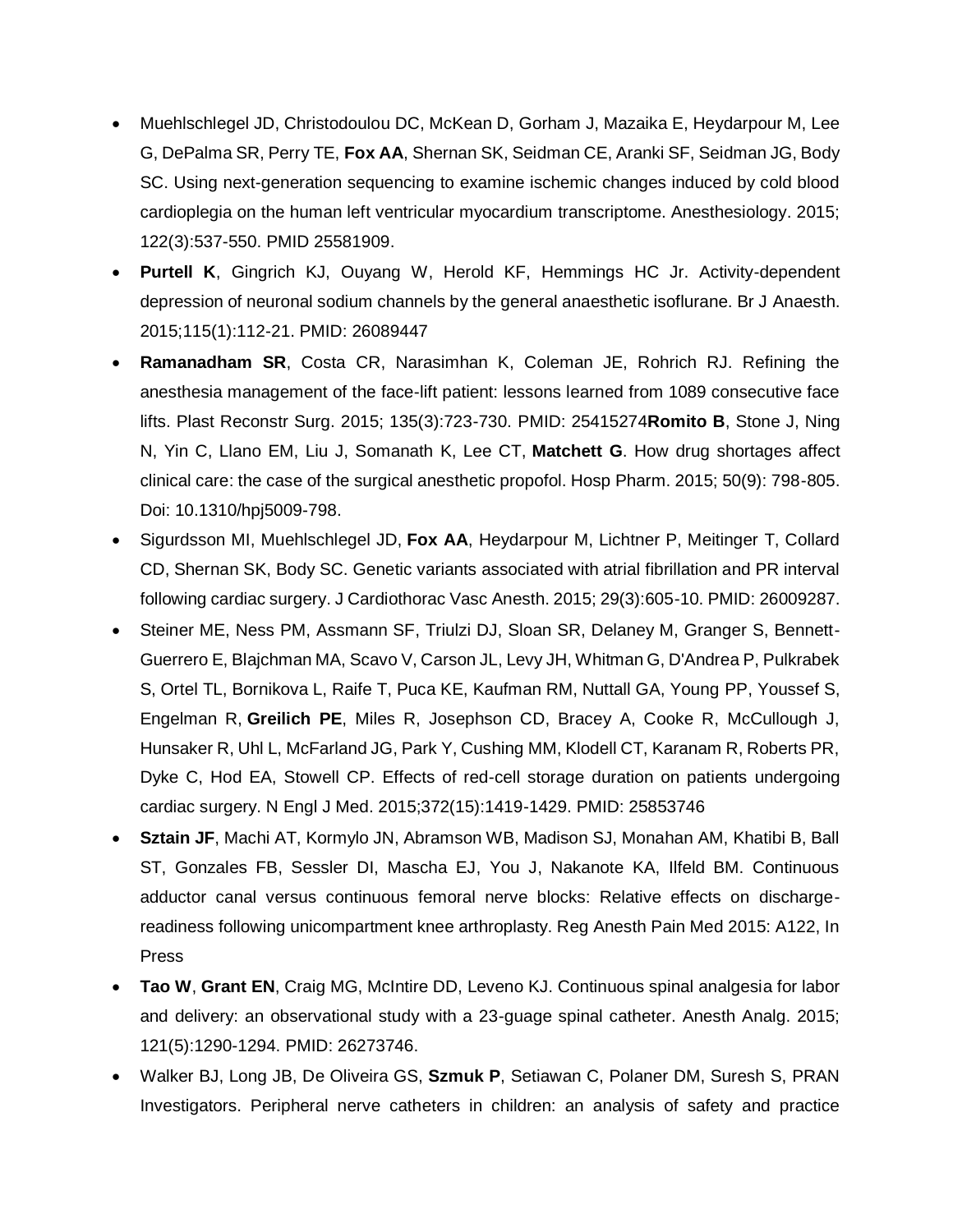- Muehlschlegel JD, Christodoulou DC, McKean D, Gorham J, Mazaika E, Heydarpour M, Lee G, DePalma SR, Perry TE, **Fox AA**, Shernan SK, Seidman CE, Aranki SF, Seidman JG, Body SC. Using next-generation sequencing to examine ischemic changes induced by cold blood cardioplegia on the human left ventricular myocardium transcriptome. Anesthesiology. 2015; 122(3):537-550. PMID 25581909.
- **Purtell K**, Gingrich KJ, Ouyang W, Herold KF, Hemmings HC Jr. Activity-dependent depression of neuronal sodium channels by the general anaesthetic isoflurane. Br J Anaesth. 2015;115(1):112-21. PMID: 26089447
- **Ramanadham SR**, Costa CR, Narasimhan K, Coleman JE, Rohrich RJ. Refining the anesthesia management of the face-lift patient: lessons learned from 1089 consecutive face lifts. Plast Reconstr Surg. 2015; 135(3):723-730. PMID: 25415274**Romito B**, Stone J, Ning N, Yin C, Llano EM, Liu J, Somanath K, Lee CT, **Matchett G**. How drug shortages affect clinical care: the case of the surgical anesthetic propofol. Hosp Pharm. 2015; 50(9): 798-805. Doi: 10.1310/hpj5009-798.
- Sigurdsson MI, Muehlschlegel JD, **Fox AA**, Heydarpour M, Lichtner P, Meitinger T, Collard CD, Shernan SK, Body SC. Genetic variants associated with atrial fibrillation and PR interval following cardiac surgery. J Cardiothorac Vasc Anesth. 2015; 29(3):605-10. PMID: 26009287.
- Steiner ME, Ness PM, Assmann SF, Triulzi DJ, Sloan SR, Delaney M, Granger S, Bennett-Guerrero E, Blajchman MA, Scavo V, Carson JL, Levy JH, Whitman G, D'Andrea P, Pulkrabek S, Ortel TL, Bornikova L, Raife T, Puca KE, Kaufman RM, Nuttall GA, Young PP, Youssef S, Engelman R, **Greilich PE**, Miles R, Josephson CD, Bracey A, Cooke R, McCullough J, Hunsaker R, Uhl L, McFarland JG, Park Y, Cushing MM, Klodell CT, Karanam R, Roberts PR, Dyke C, Hod EA, Stowell CP. Effects of red-cell storage duration on patients undergoing cardiac surgery. N Engl J Med. 2015;372(15):1419-1429. PMID: 25853746
- **Sztain JF**, Machi AT, Kormylo JN, Abramson WB, Madison SJ, Monahan AM, Khatibi B, Ball ST, Gonzales FB, Sessler DI, Mascha EJ, You J, Nakanote KA, Ilfeld BM. Continuous adductor canal versus continuous femoral nerve blocks: Relative effects on dischargereadiness following unicompartment knee arthroplasty. Reg Anesth Pain Med 2015: A122, In Press
- **Tao W**, **Grant EN**, Craig MG, McIntire DD, Leveno KJ. Continuous spinal analgesia for labor and delivery: an observational study with a 23-guage spinal catheter. Anesth Analg. 2015; 121(5):1290-1294. PMID: 26273746.
- Walker BJ, Long JB, De Oliveira GS, **Szmuk P**, Setiawan C, Polaner DM, Suresh S, PRAN Investigators. Peripheral nerve catheters in children: an analysis of safety and practice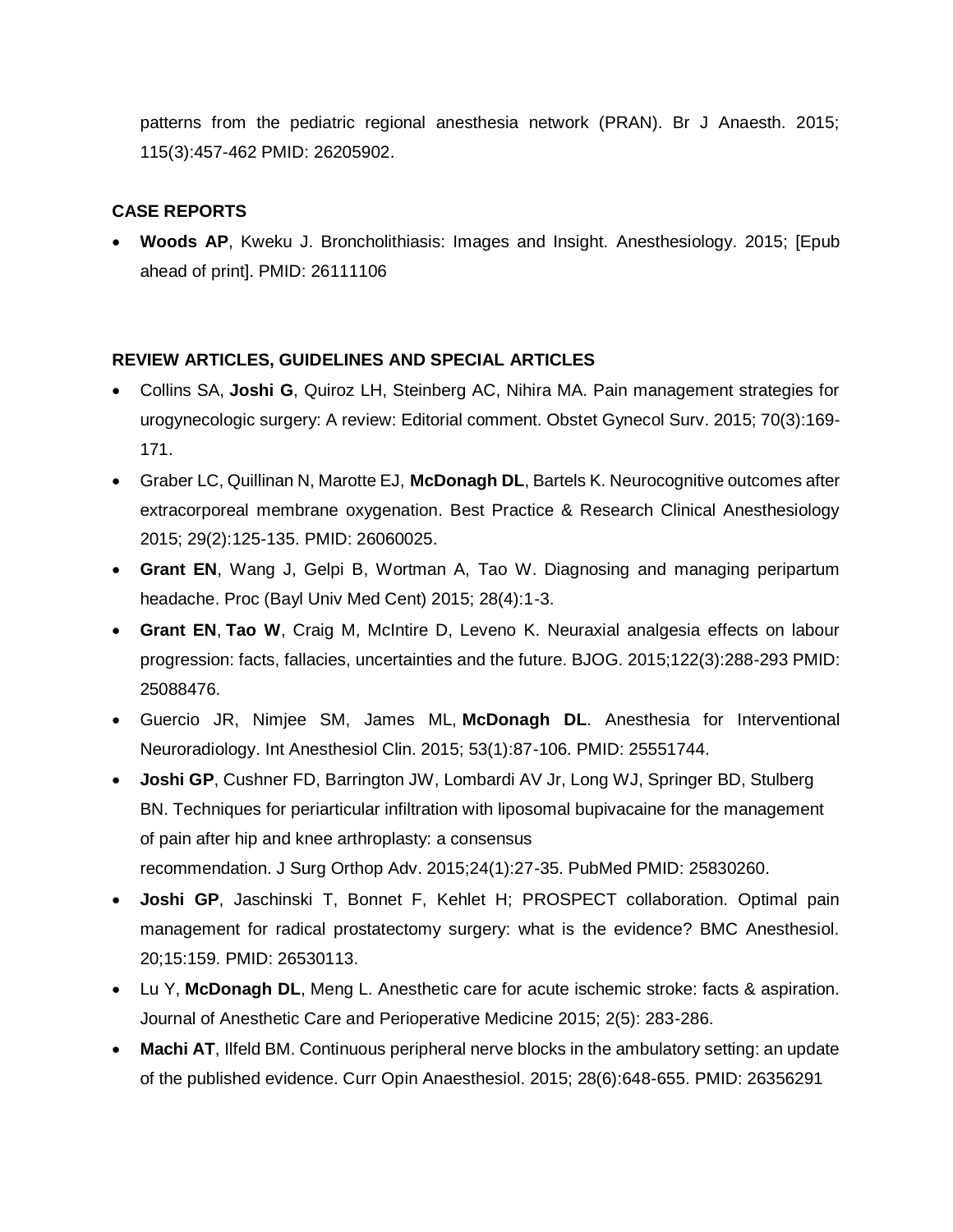patterns from the pediatric regional anesthesia network (PRAN). Br J Anaesth. 2015; 115(3):457-462 PMID: 26205902.

## **CASE REPORTS**

• **Woods AP**, Kweku J. Broncholithiasis: Images and Insight. Anesthesiology. 2015; [Epub ahead of print]. PMID: 26111106

## **REVIEW ARTICLES, GUIDELINES AND SPECIAL ARTICLES**

- Collins SA, **Joshi G**, Quiroz LH, Steinberg AC, Nihira MA. Pain management strategies for urogynecologic surgery: A review: Editorial comment. Obstet Gynecol Surv. 2015; 70(3):169- 171.
- Graber LC, Quillinan N, Marotte EJ, **McDonagh DL**, Bartels K. Neurocognitive outcomes after extracorporeal membrane oxygenation. Best Practice & Research Clinical Anesthesiology 2015; 29(2):125-135. PMID: 26060025.
- **Grant EN**, Wang J, Gelpi B, Wortman A, Tao W. Diagnosing and managing peripartum headache. Proc (Bayl Univ Med Cent) 2015; 28(4):1-3.
- **Grant EN**, **Tao W**, Craig M, McIntire D, Leveno K. Neuraxial analgesia effects on labour progression: facts, fallacies, uncertainties and the future. BJOG. 2015;122(3):288-293 PMID: 25088476.
- Guercio JR, Nimjee SM, James ML, **McDonagh DL**. Anesthesia for Interventional Neuroradiology. Int Anesthesiol Clin. 2015; 53(1):87-106. PMID: 25551744.
- **Joshi GP**, Cushner FD, Barrington JW, Lombardi AV Jr, Long WJ, Springer BD, Stulberg BN. Techniques for periarticular infiltration with liposomal bupivacaine for the management of pain after hip and knee arthroplasty: a consensus recommendation. J Surg Orthop Adv. 2015;24(1):27-35. PubMed PMID: 25830260.
- **Joshi GP**, Jaschinski T, Bonnet F, Kehlet H; PROSPECT collaboration. Optimal pain management for radical prostatectomy surgery: what is the evidence? BMC Anesthesiol. 20;15:159. PMID: 26530113.
- Lu Y, **McDonagh DL**, Meng L. Anesthetic care for acute ischemic stroke: facts & aspiration. Journal of Anesthetic Care and Perioperative Medicine 2015; 2(5): 283-286.
- **Machi AT**, Ilfeld BM. Continuous peripheral nerve blocks in the ambulatory setting: an update of the published evidence. Curr Opin Anaesthesiol. 2015; 28(6):648-655. PMID: 26356291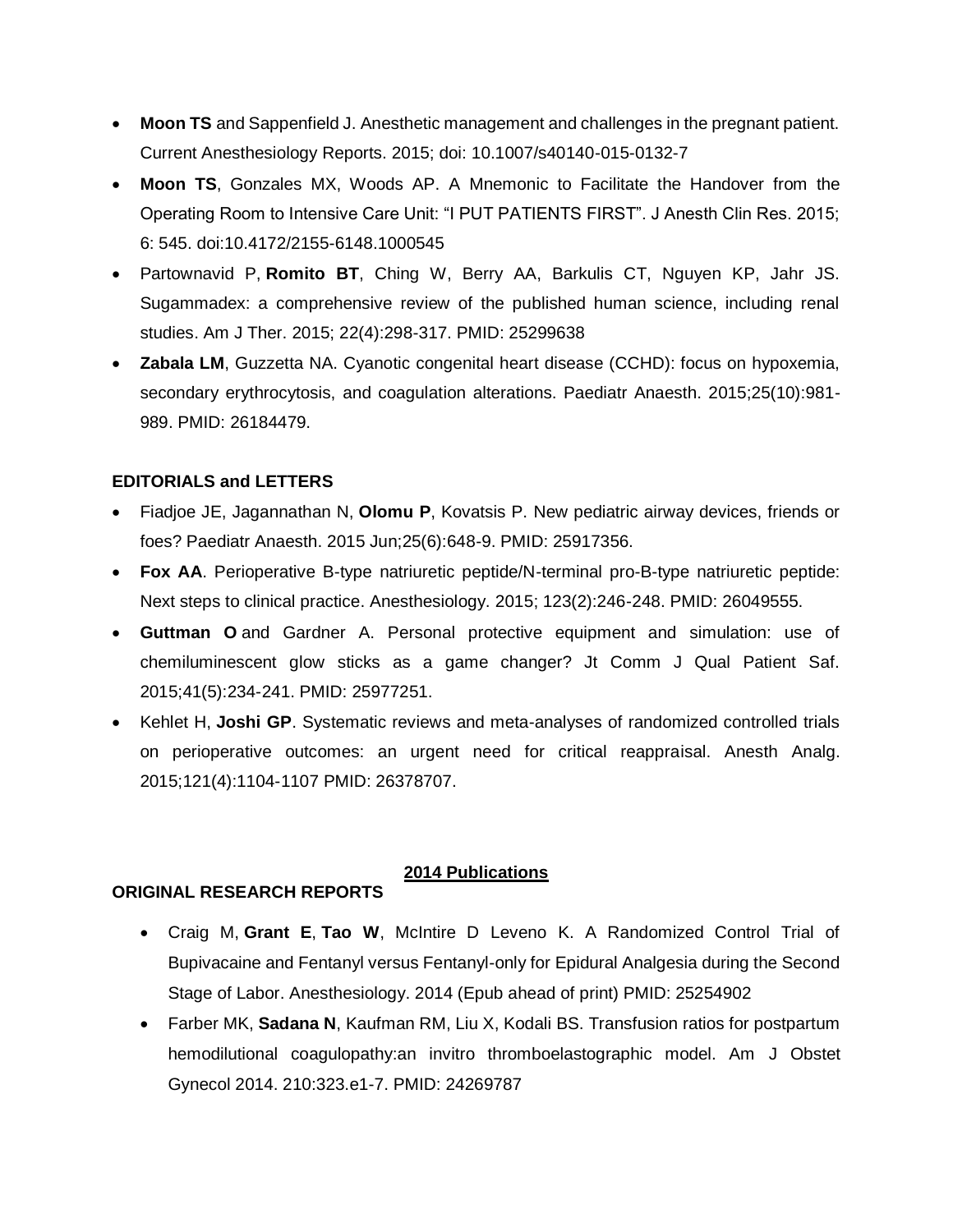- **Moon TS** and Sappenfield J. Anesthetic management and challenges in the pregnant patient. Current Anesthesiology Reports. 2015; doi: 10.1007/s40140-015-0132-7
- **Moon TS**, Gonzales MX, Woods AP. A Mnemonic to Facilitate the Handover from the Operating Room to Intensive Care Unit: "I PUT PATIENTS FIRST". J Anesth Clin Res. 2015; 6: 545. doi:10.4172/2155-6148.1000545
- Partownavid P, **Romito BT**, Ching W, Berry AA, Barkulis CT, Nguyen KP, Jahr JS. Sugammadex: a comprehensive review of the published human science, including renal studies. Am J Ther. 2015; 22(4):298-317. PMID: 25299638
- **Zabala LM**, Guzzetta NA. Cyanotic congenital heart disease (CCHD): focus on hypoxemia, secondary erythrocytosis, and coagulation alterations. Paediatr Anaesth. 2015;25(10):981- 989. PMID: 26184479.

## **EDITORIALS and LETTERS**

- Fiadjoe JE, Jagannathan N, **Olomu P**, Kovatsis P. New pediatric airway devices, friends or foes? Paediatr Anaesth. 2015 Jun;25(6):648-9. PMID: 25917356.
- **Fox AA**. Perioperative B-type natriuretic peptide/N-terminal pro-B-type natriuretic peptide: Next steps to clinical practice. Anesthesiology. 2015; 123(2):246-248. PMID: 26049555.
- **Guttman O** and Gardner A. Personal protective equipment and simulation: use of chemiluminescent glow sticks as a game changer? Jt Comm J Qual Patient Saf. 2015;41(5):234-241. PMID: 25977251.
- Kehlet H, **Joshi GP**. Systematic reviews and meta-analyses of randomized controlled trials on perioperative outcomes: an urgent need for critical reappraisal. Anesth Analg. 2015;121(4):1104-1107 PMID: 26378707.

# **2014 Publications**

# **ORIGINAL RESEARCH REPORTS**

- Craig M, **Grant E**, **Tao W**, McIntire D Leveno K. A Randomized Control Trial of Bupivacaine and Fentanyl versus Fentanyl-only for Epidural Analgesia during the Second Stage of Labor. Anesthesiology. 2014 (Epub ahead of print) PMID: 25254902
- Farber MK, **Sadana N**, Kaufman RM, Liu X, Kodali BS. Transfusion ratios for postpartum hemodilutional coagulopathy:an invitro thromboelastographic model. Am J Obstet Gynecol 2014. 210:323.e1-7. PMID: 24269787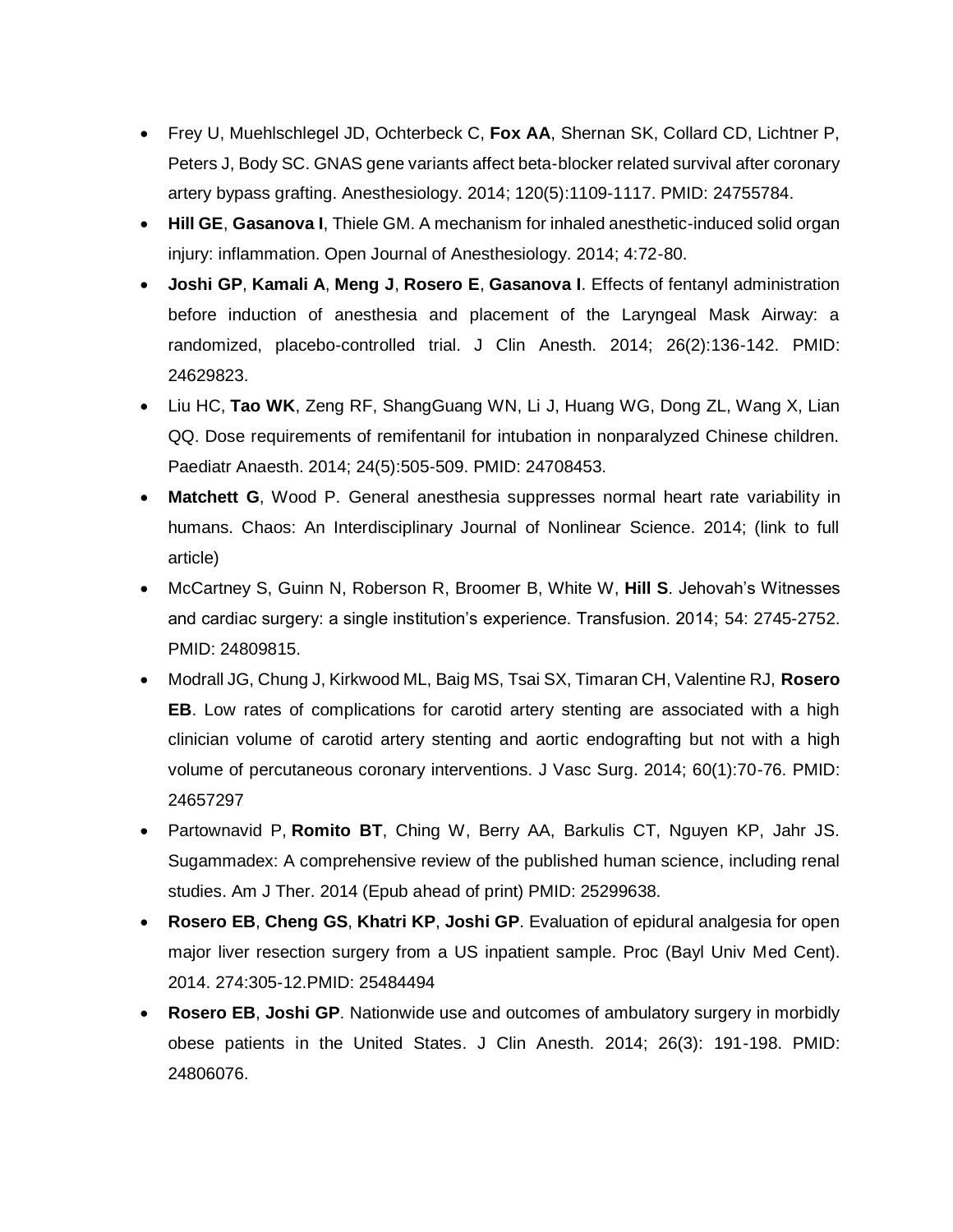- Frey U, Muehlschlegel JD, Ochterbeck C, **Fox AA**, Shernan SK, Collard CD, Lichtner P, Peters J, Body SC. GNAS gene variants affect beta-blocker related survival after coronary artery bypass grafting. Anesthesiology. 2014; 120(5):1109-1117. PMID: 24755784.
- **Hill GE**, **Gasanova I**, Thiele GM. A mechanism for inhaled anesthetic-induced solid organ injury: inflammation. Open Journal of Anesthesiology. 2014; 4:72-80.
- **Joshi GP**, **Kamali A**, **Meng J**, **Rosero E**, **Gasanova I**. Effects of fentanyl administration before induction of anesthesia and placement of the Laryngeal Mask Airway: a randomized, placebo-controlled trial. J Clin Anesth. 2014; 26(2):136-142. PMID: 24629823.
- Liu HC, **Tao WK**, Zeng RF, ShangGuang WN, Li J, Huang WG, Dong ZL, Wang X, Lian QQ. Dose requirements of remifentanil for intubation in nonparalyzed Chinese children. Paediatr Anaesth. 2014; 24(5):505-509. PMID: 24708453.
- **Matchett G**, Wood P. General anesthesia suppresses normal heart rate variability in humans. Chaos: An Interdisciplinary Journal of Nonlinear Science. 2014; (link to full article)
- McCartney S, Guinn N, Roberson R, Broomer B, White W, **Hill S**. Jehovah's Witnesses and cardiac surgery: a single institution's experience. Transfusion. 2014; 54: 2745-2752. PMID: 24809815.
- Modrall JG, Chung J, Kirkwood ML, Baig MS, Tsai SX, Timaran CH, Valentine RJ, **Rosero EB**. Low rates of complications for carotid artery stenting are associated with a high clinician volume of carotid artery stenting and aortic endografting but not with a high volume of percutaneous coronary interventions. J Vasc Surg. 2014; 60(1):70-76. PMID: 24657297
- Partownavid P, **Romito BT**, Ching W, Berry AA, Barkulis CT, Nguyen KP, Jahr JS. Sugammadex: A comprehensive review of the published human science, including renal studies. Am J Ther. 2014 (Epub ahead of print) PMID: 25299638.
- **Rosero EB**, **Cheng GS**, **Khatri KP**, **Joshi GP**. Evaluation of epidural analgesia for open major liver resection surgery from a US inpatient sample. Proc (Bayl Univ Med Cent). 2014. 274:305-12.PMID: 25484494
- **Rosero EB**, **Joshi GP**. Nationwide use and outcomes of ambulatory surgery in morbidly obese patients in the United States. J Clin Anesth. 2014; 26(3): 191-198. PMID: 24806076.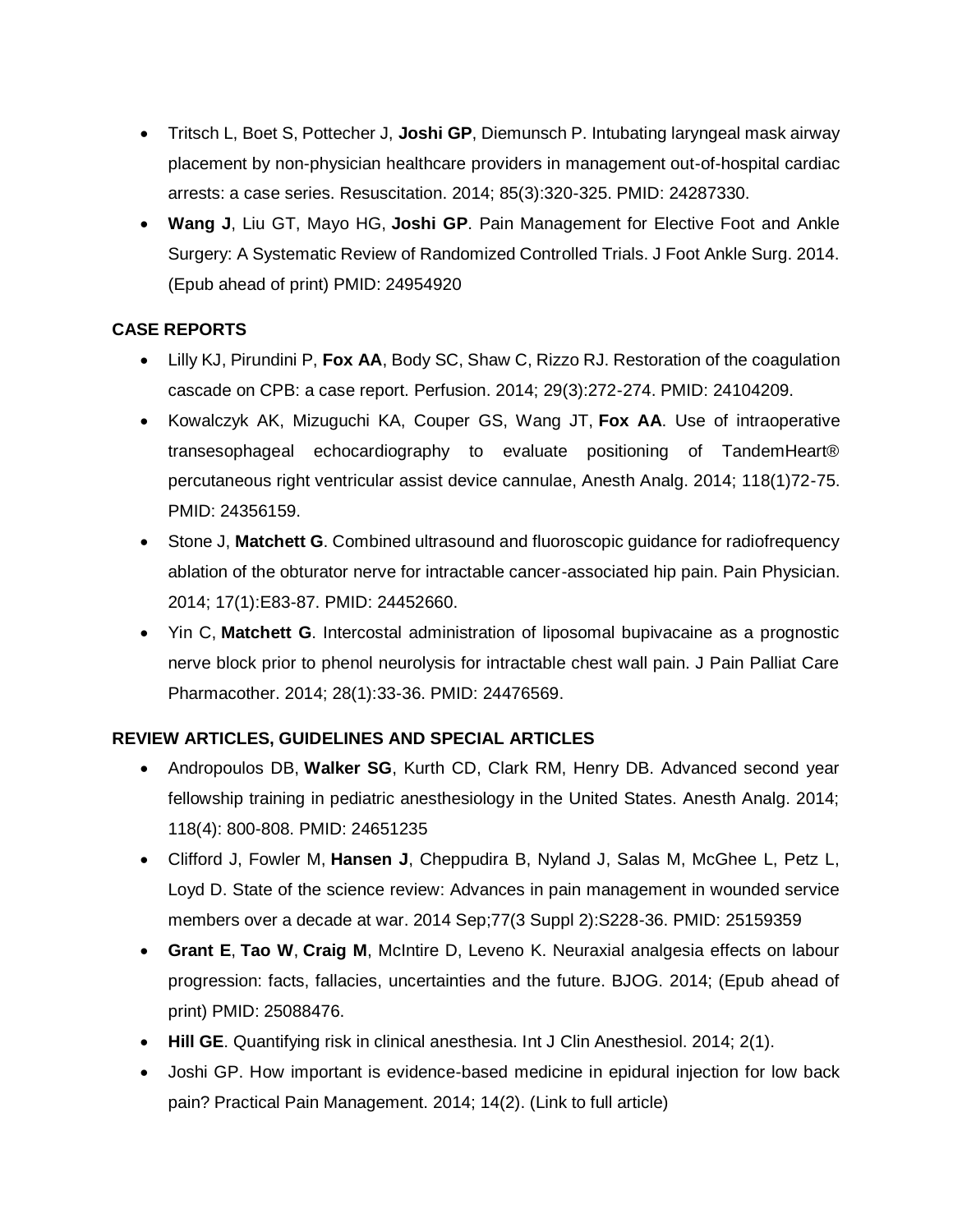- Tritsch L, Boet S, Pottecher J, **Joshi GP**, Diemunsch P. Intubating laryngeal mask airway placement by non-physician healthcare providers in management out-of-hospital cardiac arrests: a case series. Resuscitation. 2014; 85(3):320-325. PMID: 24287330.
- **Wang J**, Liu GT, Mayo HG, **Joshi GP**. Pain Management for Elective Foot and Ankle Surgery: A Systematic Review of Randomized Controlled Trials. J Foot Ankle Surg. 2014. (Epub ahead of print) PMID: 24954920

# **CASE REPORTS**

- Lilly KJ, Pirundini P, **Fox AA**, Body SC, Shaw C, Rizzo RJ. Restoration of the coagulation cascade on CPB: a case report. Perfusion. 2014; 29(3):272-274. PMID: 24104209.
- Kowalczyk AK, Mizuguchi KA, Couper GS, Wang JT, **Fox AA**. Use of intraoperative transesophageal echocardiography to evaluate positioning of TandemHeart® percutaneous right ventricular assist device cannulae, Anesth Analg. 2014; 118(1)72-75. PMID: 24356159.
- Stone J, **Matchett G**. Combined ultrasound and fluoroscopic guidance for radiofrequency ablation of the obturator nerve for intractable cancer-associated hip pain. Pain Physician. 2014; 17(1):E83-87. PMID: 24452660.
- Yin C, **Matchett G**. Intercostal administration of liposomal bupivacaine as a prognostic nerve block prior to phenol neurolysis for intractable chest wall pain. J Pain Palliat Care Pharmacother. 2014; 28(1):33-36. PMID: 24476569.

# **REVIEW ARTICLES, GUIDELINES AND SPECIAL ARTICLES**

- Andropoulos DB, **Walker SG**, Kurth CD, Clark RM, Henry DB. Advanced second year fellowship training in pediatric anesthesiology in the United States. Anesth Analg. 2014; 118(4): 800-808. PMID: 24651235
- Clifford J, Fowler M, **Hansen J**, Cheppudira B, Nyland J, Salas M, McGhee L, Petz L, Loyd D. State of the science review: Advances in pain management in wounded service members over a decade at war. 2014 Sep;77(3 Suppl 2):S228-36. PMID: 25159359
- **Grant E**, **Tao W**, **Craig M**, McIntire D, Leveno K. Neuraxial analgesia effects on labour progression: facts, fallacies, uncertainties and the future. BJOG. 2014; (Epub ahead of print) PMID: 25088476.
- **Hill GE**. Quantifying risk in clinical anesthesia. Int J Clin Anesthesiol. 2014; 2(1).
- Joshi GP. How important is evidence-based medicine in epidural injection for low back pain? Practical Pain Management. 2014; 14(2). (Link to full article)